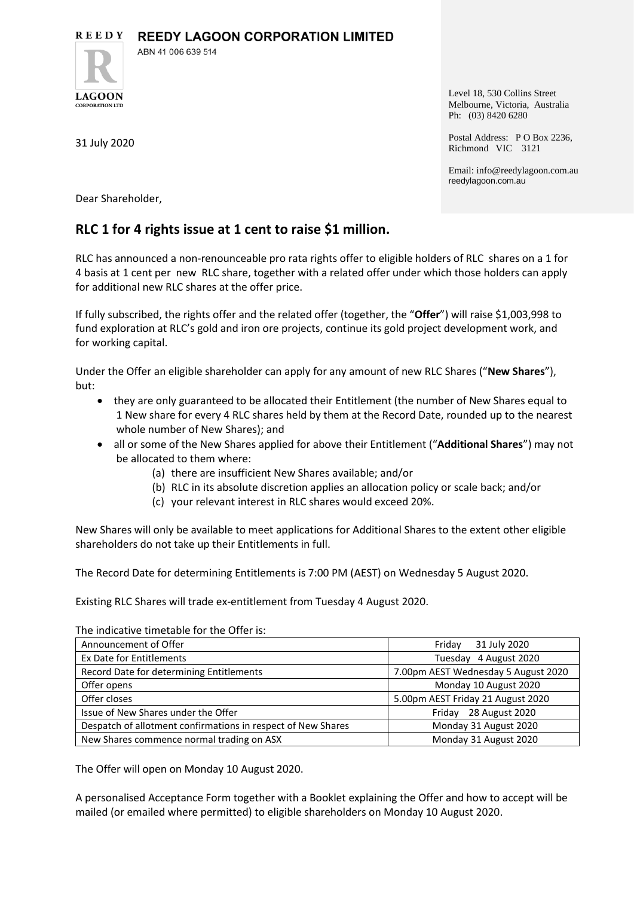**REEDY REEDY LAGOON CORPORATION LIMITED** 



ABN 41 006 639 514

31 July 2020

Level 18, 530 Collins Street Melbourne, Victoria, Australia Ph: (03) 8420 6280

Postal Address: P O Box 2236, Richmond VIC 3121

Email: info@reedylagoon.com.au reedylagoon.com.au

Dear Shareholder,

## **RLC 1 for 4 rights issue at 1 cent to raise \$1 million.**

RLC has announced a non-renounceable pro rata rights offer to eligible holders of RLC shares on a 1 for 4 basis at 1 cent per new RLC share, together with a related offer under which those holders can apply for additional new RLC shares at the offer price.

If fully subscribed, the rights offer and the related offer (together, the "**Offer**") will raise \$1,003,998 to fund exploration at RLC's gold and iron ore projects, continue its gold project development work, and for working capital.

Under the Offer an eligible shareholder can apply for any amount of new RLC Shares ("**New Shares**"), but:

- they are only guaranteed to be allocated their Entitlement (the number of New Shares equal to 1 New share for every 4 RLC shares held by them at the Record Date, rounded up to the nearest whole number of New Shares); and
- all or some of the New Shares applied for above their Entitlement ("**Additional Shares**") may not be allocated to them where:
	- (a) there are insufficient New Shares available; and/or
	- (b) RLC in its absolute discretion applies an allocation policy or scale back; and/or
	- (c) your relevant interest in RLC shares would exceed 20%.

New Shares will only be available to meet applications for Additional Shares to the extent other eligible shareholders do not take up their Entitlements in full.

The Record Date for determining Entitlements is 7:00 PM (AEST) on Wednesday 5 August 2020.

Existing RLC Shares will trade ex-entitlement from Tuesday 4 August 2020.

The indicative timetable for the Offer is:

| Announcement of Offer                                        | 31 July 2020<br>Friday              |
|--------------------------------------------------------------|-------------------------------------|
| Ex Date for Entitlements                                     | Tuesday 4 August 2020               |
| Record Date for determining Entitlements                     | 7.00pm AEST Wednesday 5 August 2020 |
| Offer opens                                                  | Monday 10 August 2020               |
| Offer closes                                                 | 5.00pm AEST Friday 21 August 2020   |
| Issue of New Shares under the Offer                          | 28 August 2020<br>Fridav            |
| Despatch of allotment confirmations in respect of New Shares | Monday 31 August 2020               |
| New Shares commence normal trading on ASX                    | Monday 31 August 2020               |

The Offer will open on Monday 10 August 2020.

A personalised Acceptance Form together with a Booklet explaining the Offer and how to accept will be mailed (or emailed where permitted) to eligible shareholders on Monday 10 August 2020.